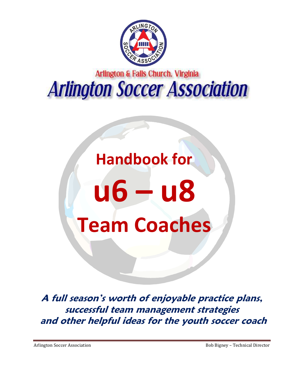

# Arlington & Falls Church. Virginia **Arlington Soccer Association**

# **Handbook for**

# **u6 – u8 Team Coaches**

**A full season's worth of enjoyable practice plans, successful team management strategies and other helpful ideas for the youth soccer coach**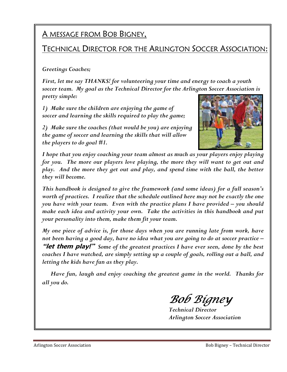### A MESSAGE FROM BOB BIGNEY,

### **TECHNICAL DIRECTOR FOR THE ARLINGTON SOCCER ASSOCIATION:**

#### *Greetings Coaches;*

*First, let me say THANKS! for volunteering your time and energy to coach a youth soccer team. My goal as the Technical Director for the Arlington Soccer Association is pretty simple:* 

*1) Make sure the children are enjoying the game of soccer and learning the skills required to play the game;* 

*2) Make sure the coaches (that would be you) are enjoying the game of soccer and learning the skills that will allow the players to do goal #1.*



*I hope that you enjoy coaching your team almost as much as your players enjoy playing*  for you. The more our players love playing, the more they will want to get out and *play. And the more they get out and play, and spend time with the ball, the better they will become.* 

*This handbook is designed to give the framework (and some ideas) for a full season's worth of practices. I realize that the schedule outlined here may not be exactly the one you have with your team. Even with the practice plans I have provided – you should make each idea and activity your own. Take the activities in this handbook and put your personality into them, make them fit your team.* 

*My one piece of advice is, for those days when you are running late from work, have not been having a good day, have no idea what you are going to do at soccer practice –*  **"let them play!"** *Some of the greatest practices I have ever seen, done by the best coaches I have watched, are simply setting up a couple of goals, rolling out a ball, and letting the kids have fun as they play.* 

 *Have fun, laugh and enjoy coaching the greatest game in the world. Thanks for all you do.* 

Bob Bígney

*Technical Director Arlington Soccer Association*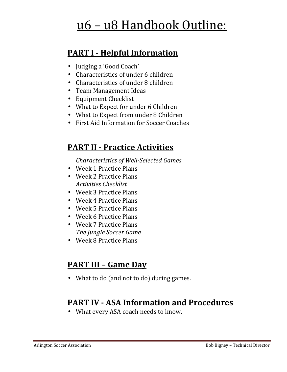# u6 – u8 Handbook Outline:

### **PART I - Helpful Information**

- Judging a 'Good Coach'
- Characteristics of under 6 children
- Characteristics of under 8 children
- Team Management Ideas
- Equipment Checklist
- What to Expect for under 6 Children
- What to Expect from under 8 Children
- First Aid Information for Soccer Coaches

### **PART II - Practice Activities**

*Characteristics of Well-Selected Games* 

- Week 1 Practice Plans
- Week 2 Practice Plans *Activities Checklist*
- Week 3 Practice Plans
- Week 4 Practice Plans
- Week 5 Practice Plans
- Week 6 Practice Plans
- Week 7 Practice Plans *The Jungle Soccer Game*
- Week 8 Practice Plans

### **PART III – Game Day**

• What to do (and not to do) during games.

### **PART IV - ASA Information and Procedures**

• What every ASA coach needs to know.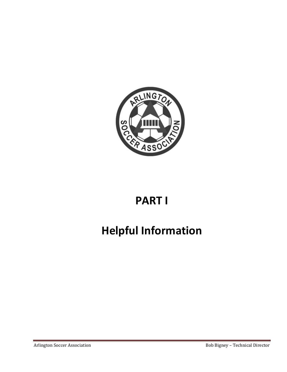

# **PART I**

# **Helpful Information**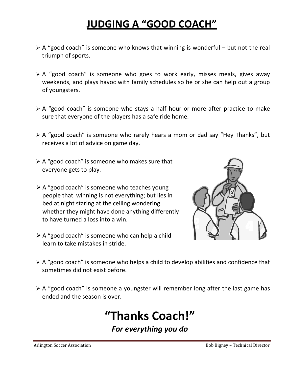# **JUDGING A "GOOD COACH"**

- $\triangleright$  A "good coach" is someone who knows that winning is wonderful but not the real triumph of sports.
- $\triangleright$  A "good coach" is someone who goes to work early, misses meals, gives away weekends, and plays havoc with family schedules so he or she can help out a group of youngsters.
- $\triangleright$  A "good coach" is someone who stays a half hour or more after practice to make sure that everyone of the players has a safe ride home.
- A "good coach" is someone who rarely hears a mom or dad say "Hey Thanks", but receives a lot of advice on game day.
- $\triangleright$  A "good coach" is someone who makes sure that everyone gets to play.
- A "good coach" is someone who teaches young people that winning is not everything; but lies in bed at night staring at the ceiling wondering whether they might have done anything differently to have turned a loss into a win.
- $\triangleright$  A "good coach" is someone who can help a child learn to take mistakes in stride.



- $\triangleright$  A "good coach" is someone who helps a child to develop abilities and confidence that sometimes did not exist before.
- $\triangleright$  A "good coach" is someone a youngster will remember long after the last game has ended and the season is over.

# **"Thanks Coach!"**

*For everything you do*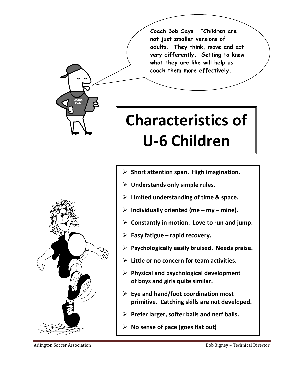**Coach Bob Says – "Children are not just smaller versions of adults. They think, move and act very differently. Getting to know what they are like will help us coach them more effectively.** 

# **Characteristics of U-6 Children**

- **Short attention span. High imagination.**
- **Understands only simple rules.**
- **Limited understanding of time & space.**
- **Individually oriented (me my mine).**
- **Constantly in motion. Love to run and jump.**
- **Easy fatigue rapid recovery.**
- **Psychologically easily bruised. Needs praise.**
- **Little or no concern for team activities.**
- **Physical and psychological development of boys and girls quite similar.**
- **Eye and hand/foot coordination most primitive. Catching skills are not developed.**
- **Prefer larger, softer balls and nerf balls.**
- **No sense of pace (goes flat out)**



**Coach Bob**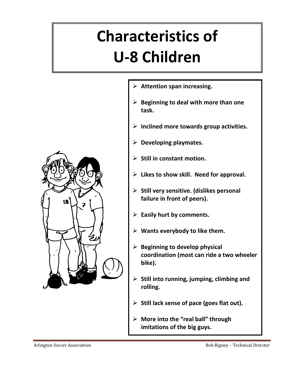# **Characteristics of U-8 Children**



- **Attention span increasing.**
- **Beginning to deal with more than one task.**
- **Inclined more towards group activities.**
- **Developing playmates.**
- **Still in constant motion.**
- **Likes to show skill. Need for approval.**
- **Still very sensitive. (dislikes personal failure in front of peers).**
- **Easily hurt by comments.**
- **Wants everybody to like them.**
- **Beginning to develop physical coordination (most can ride a two wheeler bike).**
- **Still into running, jumping, climbing and rolling.**
- **Still lack sense of pace (goes flat out).**
- **More into the "real ball" through imitations of the big guys.**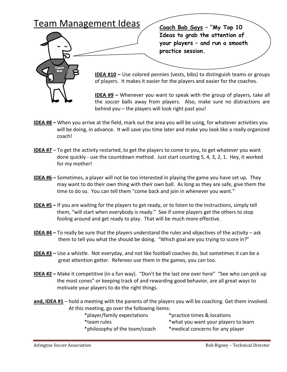### Team Management Ideas



**Coach Bob Says – "My Top 10 Ideas to grab the attention of your players – and run a smooth practice session.** 

**IDEA #10 –** Use colored pennies (vests, bibs) to distinguish teams or groups of players. It makes it easier for the players and easier for the coaches.

**IDEA #9 –** Whenever you want to speak with the group of players, take all the soccer balls away from players. Also, make sure no distractions are behind you – the players will look right past you!

- **IDEA #8** When you arrive at the field, mark out the area you will be using, for whatever activities you will be doing, in advance. It will save you time later and make you look like a really organized coach!
- **IDEA #7** To get the activity restarted, to get the players to come to you, to get whatever you want done quickly - use the countdown method. Just start counting 5, 4, 3, 2, 1. Hey, it worked for my mother!
- **IDEA #6** Sometimes, a player will not be too interested in playing the game you have set up. They may want to do their own thing with their own ball. As long as they are safe, give them the time to do so. You can tell them "come back and join in whenever you want."
- **IDEA #5** If you are waiting for the players to get ready, or to listen to the instructions, simply tell them, "will start when everybody is ready." See if some players get the others to stop fooling around and get ready to play. That will be much more effective.
- **IDEA #4** To really be sure that the players understand the rules and objectives of the activity ask them to tell you what the should be doing. "Which goal are you trying to score in?"
- **IDEA #3** Use a whistle. Not everyday, and not like football coaches do, but sometimes it can be a great attention getter. Referees use them in the games, you can too.
- **IDEA #2** Make it competitive (in a fun way). "Don't be the last one over here" "See who can pick up the most cones" or keeping track of and rewarding good behavior, are all great ways to motivate your players to do the right things.
- **and, IDEA #1** hold a meeting with the parents of the players you will be coaching. Get them involved. At this meeting, go over the following items:

| *player/family expectations   | *practice times & locations          |
|-------------------------------|--------------------------------------|
| *team rules                   | *what you want your players to learn |
| *philosophy of the team/coach | *medical concerns for any player     |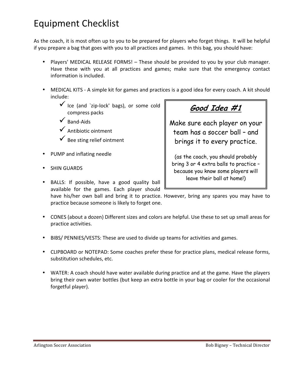## Equipment Checklist

As the coach, it is most often up to you to be prepared for players who forget things. It will be helpful if you prepare a bag that goes with you to all practices and games. In this bag, you should have:

- Players' MEDICAL RELEASE FORMS! These should be provided to you by your club manager. Have these with you at all practices and games; make sure that the emergency contact information is included.
- MEDICAL KITS A simple kit for games and practices is a good idea for every coach. A kit should include:
	- Ice (and `zip-lock' bags), or some cold compress packs
	- $\checkmark$  Band-Aids
	- Antibiotic ointment
	- Bee sting relief ointment
- PUMP and inflating needle
- SHIN GUARDS

Make sure each player on your

team has a soccer ball – and brings it to every practice.

**Good Idea #1**

(as the coach, you should probably bring 3 or 4 extra balls to practice – because you know some players will leave their ball at home!)

• BALLS: If possible, have a good quality ball available for the games. Each player should

have his/her own ball and bring it to practice. However, bring any spares you may have to practice because someone is likely to forget one.

- CONES (about a dozen) Different sizes and colors are helpful. Use these to set up small areas for practice activities.
- BIBS/ PENNIES/VESTS: These are used to divide up teams for activities and games.
- CLIPBOARD or NOTEPAD: Some coaches prefer these for practice plans, medical release forms, substitution schedules, etc.
- WATER: A coach should have water available during practice and at the game. Have the players bring their own water bottles (but keep an extra bottle in your bag or cooler for the occasional forgetful player).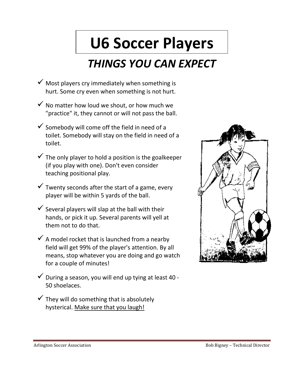# **U6 Soccer Players**

# *THINGS YOU CAN EXPECT*

- $\checkmark$  Most players cry immediately when something is hurt. Some cry even when something is not hurt.
- $\checkmark$  No matter how loud we shout, or how much we "practice" it, they cannot or will not pass the ball.
- $\checkmark$  Somebody will come off the field in need of a toilet. Somebody will stay on the field in need of a toilet.
- $\checkmark$  The only player to hold a position is the goalkeeper (if you play with one). Don't even consider teaching positional play.
- $\checkmark$  Twenty seconds after the start of a game, every player will be within 5 yards of the ball.
- $\checkmark$  Several players will slap at the ball with their hands, or pick it up. Several parents will yell at them not to do that.
- $\checkmark$  A model rocket that is launched from a nearby field will get 99% of the player's attention. By all means, stop whatever you are doing and go watch for a couple of minutes!
- $\checkmark$  During a season, you will end up tying at least 40 -50 shoelaces.
- $\checkmark$  They will do something that is absolutely hysterical. Make sure that you laugh!

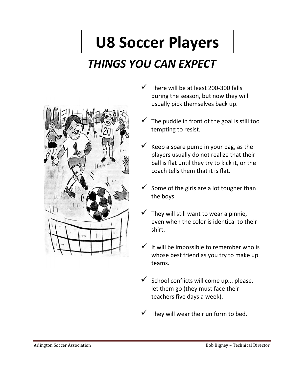# **U8 Soccer Players**

# *THINGS YOU CAN EXPECT*



- $\checkmark$  There will be at least 200-300 falls during the season, but now they will usually pick themselves back up.
- $\checkmark$  The puddle in front of the goal is still too tempting to resist.
- $\checkmark$  Keep a spare pump in your bag, as the players usually do not realize that their ball is flat until they try to kick it, or the coach tells them that it is flat.
- $\checkmark$  Some of the girls are a lot tougher than the boys.
- $\checkmark$  They will still want to wear a pinnie, even when the color is identical to their shirt.
- $\checkmark$  It will be impossible to remember who is whose best friend as you try to make up teams.
- School conflicts will come up... please, let them go (they must face their teachers five days a week).
- $\checkmark$  They will wear their uniform to bed.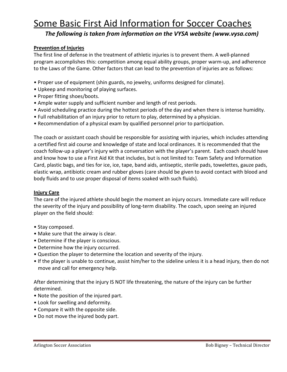## Some Basic First Aid Information for Soccer Coaches

*The following is taken from information on the VYSA website (www.vysa.com)* 

#### **Prevention of Injuries**

The first line of defense in the treatment of athletic injuries is to prevent them. A well-planned program accomplishes this: competition among equal ability groups, proper warm-up, and adherence to the Laws of the Game. Other factors that can lead to the prevention of injuries are as follows:

- Proper use of equipment (shin guards, no jewelry, uniforms designed for climate).
- Upkeep and monitoring of playing surfaces.
- Proper fitting shoes/boots.
- Ample water supply and sufficient number and length of rest periods.
- Avoid scheduling practice during the hottest periods of the day and when there is intense humidity.
- Full rehabilitation of an injury prior to return to play, determined by a physician.
- Recommendation of a physical exam by qualified personnel prior to participation.

The coach or assistant coach should be responsible for assisting with injuries, which includes attending a certified first aid course and knowledge of state and local ordinances. It is recommended that the coach follow-up a player's injury with a conversation with the player's parent. Each coach should have and know how to use a First Aid Kit that includes, but is not limited to: Team Safety and Information Card, plastic bags, and ties for ice, ice, tape, band aids, antiseptic, sterile pads, towelettes, gauze pads, elastic wrap, antibiotic cream and rubber gloves (care should be given to avoid contact with blood and body fluids and to use proper disposal of items soaked with such fluids).

#### **Injury Care**

The care of the injured athlete should begin the moment an injury occurs. Immediate care will reduce the severity of the injury and possibility of long-term disability. The coach, upon seeing an injured player on the field should:

- Stay composed.
- Make sure that the airway is clear.
- Determine if the player is conscious.
- Determine how the injury occurred.
- Question the player to determine the location and severity of the injury.
- If the player is unable to continue, assist him/her to the sideline unless it is a head injury, then do not move and call for emergency help.

After determining that the injury IS NOT life threatening, the nature of the injury can be further determined.

- Note the position of the injured part.
- Look for swelling and deformity.
- Compare it with the opposite side.
- Do not move the injured body part.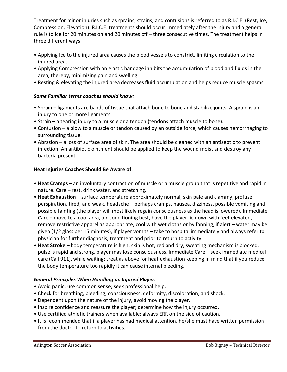Treatment for minor injuries such as sprains, strains, and contusions is referred to as R.I.C.E. (Rest, Ice, Compression, Elevation). R.I.C.E. treatments should occur immediately after the injury and a general rule is to ice for 20 minutes on and 20 minutes off – three consecutive times. The treatment helps in three different ways:

- Applying Ice to the injured area causes the blood vessels to constrict, limiting circulation to the injured area.
- Applying Compression with an elastic bandage inhibits the accumulation of blood and fluids in the area; thereby, minimizing pain and swelling.
- Resting & elevating the injured area decreases fluid accumulation and helps reduce muscle spasms.

#### *Some Familiar terms coaches should know:*

- Sprain ligaments are bands of tissue that attach bone to bone and stabilize joints. A sprain is an injury to one or more ligaments.
- Strain a tearing injury to a muscle or a tendon (tendons attach muscle to bone).
- Contusion a blow to a muscle or tendon caused by an outside force, which causes hemorrhaging to surrounding tissue.
- Abrasion a loss of surface area of skin. The area should be cleaned with an antiseptic to prevent infection. An antibiotic ointment should be applied to keep the wound moist and destroy any bacteria present.

#### **Heat Injuries Coaches Should Be Aware of:**

- **Heat Cramps** an involuntary contraction of muscle or a muscle group that is repetitive and rapid in nature. Care – rest, drink water, and stretching.
- **Heat Exhaustion** surface temperature approximately normal, skin pale and clammy, profuse perspiration, tired, and weak, headache – perhaps cramps, nausea, dizziness, possible vomiting and possible fainting (the player will most likely regain consciousness as the head is lowered). Immediate Care – move to a cool area, air-conditioning best, have the player lie down with feet elevated, remove restrictive apparel as appropriate, cool with wet cloths or by fanning, if alert – water may be given (1/2 glass per 15 minutes), if player vomits – take to hospital immediately and always refer to physician for further diagnosis, treatment and prior to return to activity.
- **Heat Stroke** body temperature is high, skin is hot, red and dry, sweating mechanism is blocked, pulse is rapid and strong, player may lose consciousness. Immediate Care – seek immediate medical care (Call 911), while waiting; treat as above for heat exhaustion keeping in mind that if you reduce the body temperature too rapidly it can cause internal bleeding.

#### *General Principles When Handling an Injured Player:*

- Avoid panic; use common sense; seek professional help.
- Check for breathing, bleeding, consciousness, deformity, discoloration, and shock.
- Dependent upon the nature of the injury, avoid moving the player.
- Inspire confidence and reassure the player; determine how the injury occurred.
- Use certified athletic trainers when available; always ERR on the side of caution.
- It is recommended that if a player has had medical attention, he/she must have written permission from the doctor to return to activities.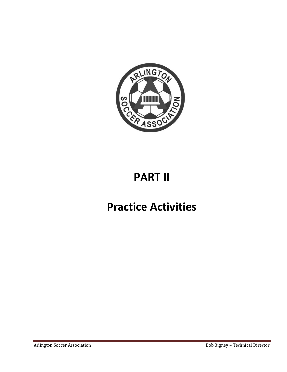

# **PART II**

# **Practice Activities**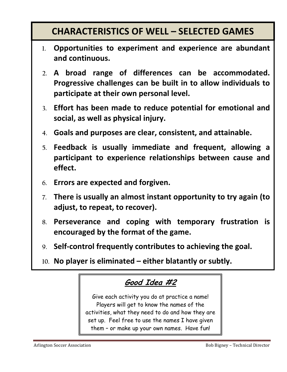## **CHARACTERISTICS OF WELL – SELECTED GAMES**

- **1. Opportunities to experiment and experience are abundant and continuous.**
- **2. A broad range of differences can be accommodated. Progressive challenges can be built in to allow individuals to participate at their own personal level.**
- **3. Effort has been made to reduce potential for emotional and social, as well as physical injury.**
- **4. Goals and purposes are clear, consistent, and attainable.**
- **5. Feedback is usually immediate and frequent, allowing a participant to experience relationships between cause and effect.**
- **6. Errors are expected and forgiven.**
- **7. There is usually an almost instant opportunity to try again (to adjust, to repeat, to recover).**
- **8. Perseverance and coping with temporary frustration is encouraged by the format of the game.**
- **9. Self-control frequently contributes to achieving the goal.**
- **10. No player is eliminated either blatantly or subtly.**

### **Good Idea #2**

Give each activity you do at practice a name! Players will get to know the names of the activities, what they need to do and how they are set up. Feel free to use the names I have given them – or make up your own names. Have fun!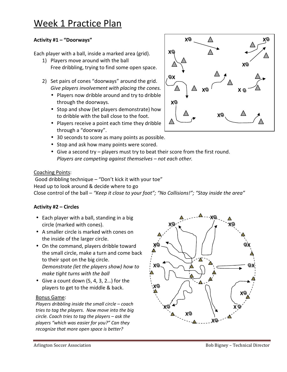## Week 1 Practice Plan

#### **Activity #1 – "Doorways"**

Each player with a ball, inside a marked area (grid).

- 1) Players move around with the ball Free dribbling, trying to find some open space.
- 2) Set pairs of cones "doorways" around the grid. *Give players involvement with placing the cones.* 
	- Players now dribble around and try to dribble through the doorways.
	- Stop and show (let players demonstrate) how to dribble with the ball close to the foot.
	- Players receive a point each time they dribble through a "doorway".
	- 30 seconds to score as many points as possible.
	- Stop and ask how many points were scored.
	- Give a second try players must try to beat their score from the first round. *Players are competing against themselves – not each other.*

#### Coaching Points:

 Good dribbling technique – "Don't kick it with your toe" Head up to look around & decide where to go Close control of the ball – *"Keep it close to your foot"; "No Collisions!"; "Stay inside the area"*

#### **Activity #2 – Circles**

- Each player with a ball, standing in a big circle (marked with cones).
- A smaller circle is marked with cones on the inside of the larger circle.
- On the command, players dribble toward the small circle, make a turn and come back to their spot on the big circle. *Demonstrate (let the players show) how to make tight turns with the ball*
- Give a count down  $(5, 4, 3, 2...)$  for the players to get to the middle & back.

#### Bonus Game:

*Players dribbling inside the small circle – coach tries to tag the players. Now move into the big circle. Coach tries to tag the players – ask the players "which was easier for you?" Can they recognize that more open space is better?* 





 **X X**

 $\begin{pmatrix} \triangle \\ \square \end{pmatrix}$  **x** 

 **X**

 $\begin{array}{c|c|c|c|c} \Delta & \Delta & \Delta \end{array}$  X  $\begin{array}{c|c|c} \Delta & \Delta \end{array}$  X  $\begin{array}{c|c|c} \Delta & \Delta \end{array}$ 

**X**

**X** 

 **X**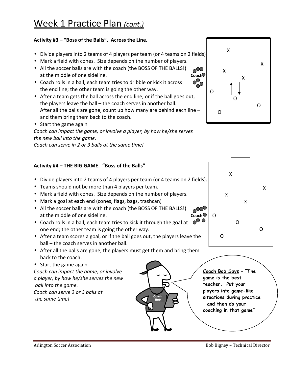#### **Activity #3 – "Boss of the Balls". Across the Line.**

- Divide players into 2 teams of 4 players per team (or 4 teams on 2 fields).
- Mark a field with cones. Size depends on the number of players.
- All the soccer balls are with the coach (the BOSS OF THE BALLS!) An the soccer pails are with the coach (the BOSS OF THE BALLS!)<br>at the middle of one sideline. **Coach**
- Coach rolls in a ball, each team tries to dribble or kick it across the end line; the other team is going the other way.
- After a team gets the ball across the end line, or if the ball goes out, the players leave the ball – the coach serves in another ball. After all the balls are gone, count up how many are behind each line – and them bring them back to the coach.
- Start the game again

*Coach can impact the game, or involve a player, by how he/she serves the new ball into the game.* 

*Coach can serve in 2 or 3 balls at the same time!* 

#### **Activity #4 – THE BIG GAME. "Boss of the Balls"**

- Divide players into 2 teams of 4 players per team (or 4 teams on 2 fields).
- Teams should not be more than 4 players per team.
- Mark a field with cones. Size depends on the number of players.
- Mark a goal at each end (cones, flags, bags, trashcan)
- All the soccer balls are with the coach (the BOSS OF THE BALLS!) at the middle of one sideline. **Coach** coach coach coach coach coach coach coach coach coach coach coach coach coach coach coach coach coach coach coach coach coach coach coach coach coach coach coach coach coach coach coa
- Coach rolls in a ball, each team tries to kick it through the goal at one end; the other team is going the other way.
- After a team scores a goal, or if the ball goes out, the players leave the ball – the coach serves in another ball.
- After all the balls are gone, the players must get them and bring them back to the coach.

**Bob** 

• Start the game again.

*Coach can impact the game, or involve a player, by how he/she serves the new ball into the game. Coach can serve 2 or 3 balls at the same time!* 





**Coach Bob Says – "The game is the best teacher. Put your players into game-like situations during practice – and then do your coaching in that game"**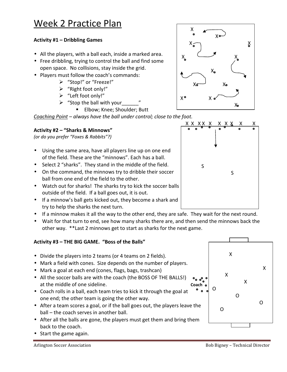#### **Activity #1 – Dribbling Games**

- All the players, with a ball each, inside a marked area.
- Free dribbling, trying to control the ball and find some open space. No collisions, stay inside the grid.
- Players must follow the coach's commands:
	- "Stop!" or "Freeze!"
	- "Right foot only!"
	- > "Left foot only!"
	- $\triangleright$  "Stop the ball with your
		- **Elbow**; Knee; Shoulder; Butt

*Coaching Point – always have the ball under control; close to the foot.* 

#### **Activity #2 – "Sharks & Minnows"**

*(or do you prefer "Foxes & Rabbits"?)*

- Using the same area, have all players line up on one end of the field. These are the "minnows". Each has a ball.
- Select 2 "sharks". They stand in the middle of the field.
- On the command, the minnows try to dribble their soccer ball from one end of the field to the other.
- Watch out for sharks! The sharks try to kick the soccer balls outside of the field. If a ball goes out, it is out.
- If a minnow's ball gets kicked out, they become a shark and try to help the sharks the next turn.
- If a minnow makes it all the way to the other end, they are safe. They wait for the next round.
- Wait for that turn to end, see how many sharks there are, and then send the minnows back the other way. \*\*Last 2 minnows get to start as sharks for the next game.

#### **Activity #3 – THE BIG GAME. "Boss of the Balls"**

- Divide the players into 2 teams (or 4 teams on 2 fields).
- Mark a field with cones. Size depends on the number of players.
- Mark a goal at each end (cones, flags, bags, trashcan)
- All the soccer balls are with the coach (the BOSS OF THE BALLS!) all the soccer balls are with the coach (the BOSS OF THE BALLS!)  $\bullet_{\bullet \bullet} \bullet_{\bullet}$ <br>at the middle of one sideline.
- Coach rolls in a ball, each team tries to kick it through the goal at one end; the other team is going the other way.
- After a team scores a goal, or if the ball goes out, the players leave the ball – the coach serves in another ball.
- After all the balls are gone, the players must get them and bring them back to the coach.
- Start the game again.





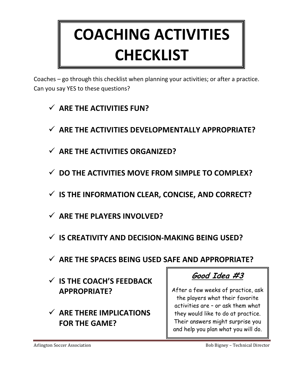# **COACHING ACTIVITIES CHECKLIST**

Coaches – go through this checklist when planning your activities; or after a practice. Can you say YES to these questions?

- **ARE THE ACTIVITIES FUN?**
- **ARE THE ACTIVITIES DEVELOPMENTALLY APPROPRIATE?**
- **ARE THE ACTIVITIES ORGANIZED?**
- **DO THE ACTIVITIES MOVE FROM SIMPLE TO COMPLEX?**
- **IS THE INFORMATION CLEAR, CONCISE, AND CORRECT?**
- **ARE THE PLAYERS INVOLVED?**
- **IS CREATIVITY AND DECISION-MAKING BEING USED?**
- **ARE THE SPACES BEING USED SAFE AND APPROPRIATE?**
- **IS THE COACH'S FEEDBACK APPROPRIATE?**
- **ARE THERE IMPLICATIONS FOR THE GAME?**

**Good Idea #3**

After a few weeks of practice, ask the players what their favorite activities are – or ask them what they would like to do at practice. Their answers might surprise you and help you plan what you will do.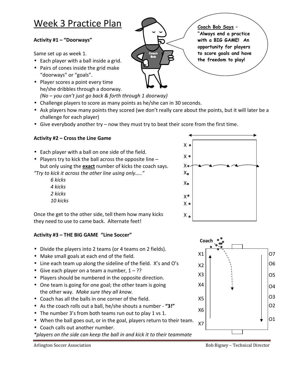## Week 3 Practice Plan

#### **Activity #1 – "Doorways"**

Same set up as week 1.

- Each player with a ball inside a grid.
- Pairs of cones inside the grid make "doorways" or "goals".
- Player scores a point every time he/she dribbles through a doorway. *(No – you can't just go back & forth through 1 doorway)*
- Challenge players to score as many points as he/she can in 30 seconds.
- Ask players how many points they scored (we don't really care about the points, but it will later be a challenge for each player)

**Coach Bob** 

• Give everybody another try – now they must try to beat their score from the first time.

#### **Activity #2 – Cross the Line Game**

- Each player with a ball on one side of the field.
- Players try to kick the ball across the opposite line but only using the **exact** number of kicks the coach says.

*"Try to kick it across the other line using only….."* 

 *6 kicks 4 kicks 2 kicks 10 kicks* 



Once the get to the other side, tell them how many kicks they need to use to came back. Alternate feet!

#### **Activity #3 – THE BIG GAME "Line Soccer"**

- Divide the players into 2 teams (or 4 teams on 2 fields).
- Make small goals at each end of the field.
- Line each team up along the sideline of the field. X's and O's
- Give each player on a team a number,  $1 ?$ ?
- Players should be numbered in the opposite direction.
- One team is going for one goal; the other team is going the other way. *Make sure they all know.*
- Coach has all the balls in one corner of the field.
- As the coach rolls out a ball, he/she shouts a number **"3!"**
- The number 3's from both teams run out to play 1 vs 1.
- When the ball goes out, or in the goal, players return to their team.
- Coach calls out another number.

*\*players on the side can keep the ball in and kick it to their teammate* 



**Coach Bob Says – "Always end a practice with a BIG GAME! An opportunity for players to score goals and have the freedom to play!**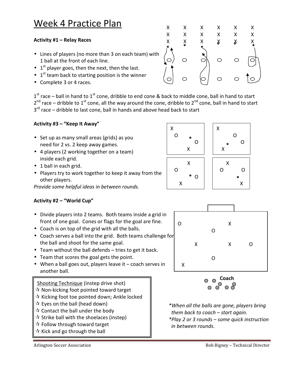## Week 4 Practice Plan

#### **Activity #1 – Relay Races**

- Lines of players (no more than 3 on each team) with 1 ball at the front of each line.
- $\bullet$  1<sup>st</sup> player goes, then the next, then the last.
- $\bullet$  1<sup>st</sup> team back to starting position is the winner
- Complete 3 or 4 races.

 $1<sup>st</sup>$  race – ball in hand to  $1<sup>st</sup>$  cone, dribble to end cone & back to middle cone, ball in hand to start  $2^{nd}$  race – dribble to  $1^{st}$  cone, all the way around the cone, dribble to  $2^{nd}$  cone, ball in hand to start 3<sup>rd</sup> race – dribble to last cone, ball in hands and above head back to start

#### **Activity #3 – "Keep It Away"**

- Set up as many small areas (grids) as you need for 2 vs. 2 keep away games.
- 4 players (2 working together on a team) inside each grid.
- 1 ball in each grid.
- Players try to work together to keep it away from the other players.

*Provide some helpful ideas in between rounds.* 

#### **Activity #2 – "World Cup"**

- Divide players into 2 teams. Both teams inside a grid in front of one goal. Cones or flags for the goal are fine.
- Coach is on top of the grid with all the balls.
- Coach serves a ball into the grid. Both teams challenge for the ball and shoot for the same goal.
- Team without the ball defends tries to get it back.
- Team that scores the goal gets the point.
- When a ball goes out, players leave it coach serves in another ball.

#### Shooting Technique (instep drive shot)

- $\mathbf{\hat{x}}$  Non-kicking foot pointed toward target
- $\mathbf{\hat{x}}$  Kicking foot toe pointed down; Ankle locked
- $\mathbf{\hat{x}}$  Eyes on the ball (head down)
- $\mathbf{\hat{x}}$  Contact the ball under the body
- $\mathbf{\hat{x}}$  Strike ball with the shoelaces (instep)
- $\mathbf{\hat{x}}$  Follow through toward target  $\mathbf{\hat{x}}$  Kick and go through the ball
- 



X  $\Omega$ X  $\Omega$ 







*\*When all the balls are gone, players bring them back to coach – start again.* 

*\*Play 2 or 3 rounds – some quick instruction in between rounds.*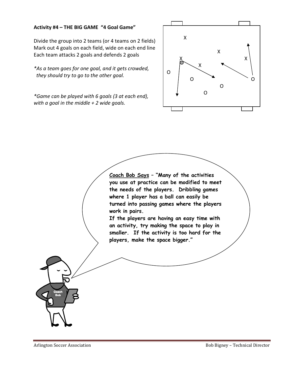#### **Activity #4 – THE BIG GAME "4 Goal Game"**

Divide the group into 2 teams (or 4 teams on 2 fields) Mark out 4 goals on each field, wide on each end line Each team attacks 2 goals and defends 2 goals

*\*As a team goes for one goal, and it gets crowded, they should try to go to the other goal.* 

*\*Game can be played with 6 goals (3 at each end), with a goal in the middle + 2 wide goals.* 



**Coach Bob Says – "Many of the activities you use at practice can be modified to meet the needs of the players. Dribbling games where 1 player has a ball can easily be turned into passing games where the players work in pairs.** 

**If the players are having an easy time with an activity, try making the space to play in smaller. If the activity is too hard for the players, make the space bigger."** 

**Coach Bob**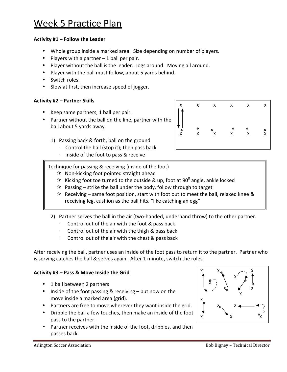## Week 5 Practice Plan

#### **Activity #1 – Follow the Leader**

- Whole group inside a marked area. Size depending on number of players.
- Players with a partner 1 ball per pair.
- Player without the ball is the leader. Jogs around. Moving all around.
- Player with the ball must follow, about 5 yards behind.
- Switch roles.
- Slow at first, then increase speed of jogger.

#### **Activity #2 – Partner Skills**

- Keep same partners, 1 ball per pair.
- Partner without the ball on the line, partner with the ball about 5 yards away.
	- 1) Passing back & forth, ball on the ground
		- $\cdot$  Control the ball (stop it); then pass back
		- ⋅ Inside of the foot to pass & receive

#### Technique for passing & receiving (inside of the foot)

- $\mathbf{\hat{x}}$  Non-kicking foot pointed straight ahead
- $\hat{x}$  Kicking foot toe turned to the outside & up, foot at 90<sup>0</sup> angle, ankle locked
- $\hat{x}$  Passing strike the ball under the body, follow through to target
- $\mathcal{R}$  Receiving same foot position, start with foot out to meet the ball, relaxed knee & receiving leg, cushion as the ball hits. "like catching an egg"
- 2) Partner serves the ball in the air (two-handed, underhand throw) to the other partner.
	- Control out of the air with the foot & pass back
	- ⋅ Control out of the air with the thigh & pass back
	- Control out of the air with the chest & pass back

After receiving the ball, partner uses an inside of the foot pass to return it to the partner. Partner who is serving catches the ball & serves again. After 1 minute, switch the roles.

#### **Activity #3 – Pass & Move Inside the Grid**

- 1 ball between 2 partners
- Inside of the foot passing & receiving but now on the move inside a marked area (grid).
- Partners are free to move wherever they want inside the grid.
- Dribble the ball a few touches, then make an inside of the foot pass to the partner.
- Partner receives with the inside of the foot, dribbles, and then passes back.



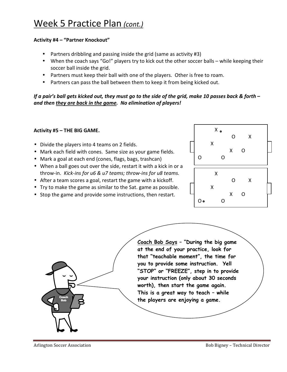#### **Activity #4 – "Partner Knockout"**

- Partners dribbling and passing inside the grid (same as activity #3)
- When the coach says "Go!" players try to kick out the other soccer balls while keeping their soccer ball inside the grid.
- Partners must keep their ball with one of the players. Other is free to roam.
- Partners can pass the ball between them to keep it from being kicked out.

*If a pair's ball gets kicked out, they must go to the side of the grid, make 10 passes back & forth – and then they are back in the game. No elimination of players!* 

#### **Activity #5 – THE BIG GAME.**

- Divide the players into 4 teams on 2 fields.
- Mark each field with cones. Same size as your game fields.
- Mark a goal at each end (cones, flags, bags, trashcan)
- When a ball goes out over the side, restart it with a kick in or a throw-in. *Kick-ins for u6 & u7 teams; throw-ins for u8 teams.*
- After a team scores a goal, restart the game with a kickoff.
- Try to make the game as similar to the Sat. game as possible.
- Stop the game and provide some instructions, then restart.



**Coach Bob Says – "During the big game at the end of your practice, look for that "teachable moment", the time for you to provide some instruction. Yell "STOP" or "FREEZE", step in to provide your instruction (only about 30 seconds worth), then start the game again. This is a great way to teach – while the players are enjoying a game.**

**Coach Bob**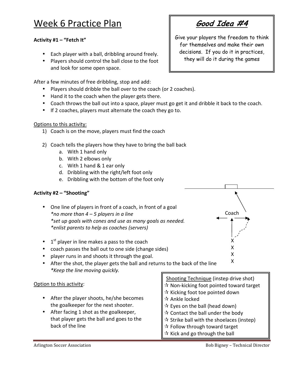## Week 6 Practice Plan

#### **Activity #1 – "Fetch It"**

- Each player with a ball, dribbling around freely.
- Players should control the ball close to the foot and look for some open space.

After a few minutes of free dribbling, stop and add:

- Players should dribble the ball over to the coach (or 2 coaches).
- Hand it to the coach when the player gets there.
- Coach throws the ball out into a space, player must go get it and dribble it back to the coach.
- If 2 coaches, players must alternate the coach they go to.

#### Options to this activity:

- 1) Coach is on the move, players must find the coach
- 2) Coach tells the players how they have to bring the ball back
	- a. With 1 hand only
	- b. With 2 elbows only
	- c. With 1 hand & 1 ear only
	- d. Dribbling with the right/left foot only
	- e. Dribbling with the bottom of the foot only

#### **Activity #2 – "Shooting"**

- One line of players in front of a coach, in front of a goal *\*no more than 4 – 5 players in a line \*set up goals with cones and use as many goals as needed. \*enlist parents to help as coaches (servers)*
- $\bullet$  1<sup>st</sup> player in line makes a pass to the coach
- coach passes the ball out to one side (change sides)
- player runs in and shoots it through the goal.
- After the shot, the player gets the ball and returns to the back of the line *\*Keep the line moving quickly.*

#### Option to this activity:

- After the player shoots, he/she becomes the goalkeeper for the next shooter.
- After facing 1 shot as the goalkeeper, that player gets the ball and goes to the back of the line

Coach

X X

Give your players the freedom to think for themselves and make their own decisions. If you do it in practices, they will do it during the games



- $\mathbf{\hat{x}}$  Follow through toward target
- $\mathbf{\hat{x}}$  Kick and go through the ball

**Good Idea #4**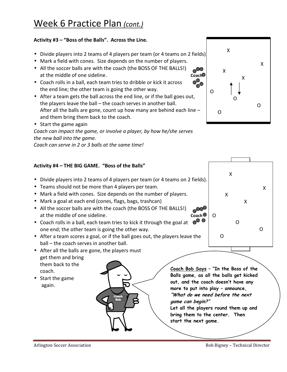#### **Activity #3 – "Boss of the Balls". Across the Line.**

- Divide players into 2 teams of 4 players per team (or 4 teams on 2 fields).
- Mark a field with cones. Size depends on the number of players.
- All the soccer balls are with the coach (the BOSS OF THE BALLS!) An the soccer pails are with the coach (the BOSS OF THE BALLS!)<br>at the middle of one sideline. **Coach**
- Coach rolls in a ball, each team tries to dribble or kick it across the end line; the other team is going the other way.
- After a team gets the ball across the end line, or if the ball goes out, the players leave the ball – the coach serves in another ball. After all the balls are gone, count up how many are behind each line – and them bring them back to the coach.
- Start the game again

*Coach can impact the game, or involve a player, by how he/she serves the new ball into the game.* 

*Coach can serve in 2 or 3 balls at the same time!* 

#### **Activity #4 – THE BIG GAME. "Boss of the Balls"**

- Divide players into 2 teams of 4 players per team (or 4 teams on 2 fields).
- Teams should not be more than 4 players per team.
- Mark a field with cones. Size depends on the number of players.
- Mark a goal at each end (cones, flags, bags, trashcan)
- All the soccer balls are with the coach (the BOSS OF THE BALLS!) at the middle of one sideline. **Coach**<sup>o</sup>
- Coach rolls in a ball, each team tries to kick it through the goal at one end; the other team is going the other way.
- After a team scores a goal, or if the ball goes out, the players leave the ball – the coach serves in another ball.

**Coach Bob** 

- After all the balls are gone, the players must get them and bring them back to the coach.
- Start the game again.

**Coach Bob Says – "In the Boss of the Balls game, as all the balls get kicked out, and the coach doesn't have any more to put into play – announce, "What do we need before the next game can begin?"**

**Let all the players round them up and bring them to the center. Then start the next game.** 



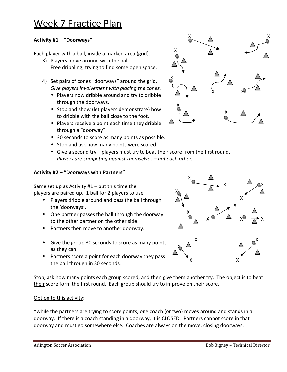### Week 7 Practice Plan

#### **Activity #1 – "Doorways"**

Each player with a ball, inside a marked area (grid).

- 3) Players move around with the ball Free dribbling, trying to find some open space.
- 4) Set pairs of cones "doorways" around the grid. *Give players involvement with placing the cones.* 
	- Players now dribble around and try to dribble through the doorways.
	- Stop and show (let players demonstrate) how to dribble with the ball close to the foot.
	- Players receive a point each time they dribble through a "doorway".
	- 30 seconds to score as many points as possible.
	- Stop and ask how many points were scored.
	- Give a second try players must try to beat their score from the first round. *Players are competing against themselves – not each other.*

#### **Activity #2 – "Doorways with Partners"**

Same set up as Activity  $#1 -$  but this time the players are paired up. 1 ball for 2 players to use.

- Players dribble around and pass the ball through the 'doorways'.
- One partner passes the ball through the doorway to the other partner on the other side.
- Partners then move to another doorway.
- Give the group 30 seconds to score as many points as they can.
- Partners score a point for each doorway they pass the ball through in 30 seconds.

Stop, ask how many points each group scored, and then give them another try. The object is to beat their score form the first round. Each group should try to improve on their score.

#### Option to this activity:

\*while the partners are trying to score points, one coach (or two) moves around and stands in a doorway. If there is a coach standing in a doorway, it is CLOSED. Partners cannot score in that doorway and must go somewhere else. Coaches are always on the move, closing doorways.



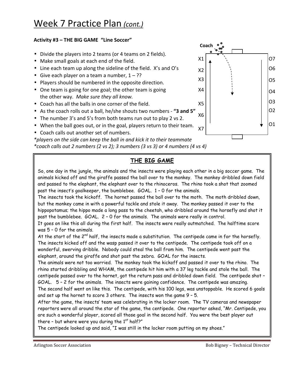#### **Activity #3 – THE BIG GAME "Line Soccer"**

- Divide the players into 2 teams (or 4 teams on 2 fields).
- Make small goals at each end of the field.
- Line each team up along the sideline of the field. X's and O's
- Give each player on a team a number,  $1 ?$ ?
- Players should be numbered in the opposite direction.
- One team is going for one goal; the other team is going the other way. *Make sure they all know.*
- Coach has all the balls in one corner of the field.
- As the coach rolls out a ball, he/she shouts two numbers **"3 and 5"**
- The number 3's and 5's from both teams run out to play 2 vs 2.
- When the ball goes out, or in the goal, players return to their team.
- Coach calls out another set of numbers.



*\*players on the side can keep the ball in and kick it to their teammate \*coach calls out 2 numbers (2 vs 2); 3 numbers (3 vs 3) or 4 numbers (4 vs 4)* 

#### **THE BIG GAME**

So, one day in the jungle, the animals and the insects were playing each other in a big soccer game. The animals kicked off and the giraffe passed the ball over to the monkey. The monkey dribbled down field and passed to the elephant, the elephant over to the rhinoceros. The rhino took a shot that zoomed past the insect's goalkeeper, the bumblebee. GOAL. 1 – 0 for the animals.

The insects took the kickoff. The hornet passed the ball over to the moth. The moth dribbled down, but the monkey came in with a powerful tackle and stole it away. The monkey passed it over to the hippopotamus; the hippo made a long pass to the cheetah, who dribbled around the horsefly and shot it past the bumblebee. GOAL. 2 – 0 for the animals. The animals were really in control.

It goes on like this all during the first half. The insects were really outmatched. The halftime score was 5 – 0 for the animals.

At the start of the  $2^{nd}$  half, the insects made a substitution. The centipede came in for the horsefly. The insects kicked off and the wasp passed it over to the centipede. The centipede took off on a wonderful, swerving dribble. Nobody could steal the ball from him. The centipede went past the elephant, around the giraffe and shot past the zebra. GOAL for the insects.

The animals were not too worried. The monkey took the kickoff and passed it over to the rhino. The rhino started dribbling and WHAM, the centipede hit him with a 37 leg tackle and stole the ball. The centipede passed over to the hornet, got the return pass and dribbled down field. The centipede shot – GOAL. 5 – 2 for the animals. The insects were gaining confidence. The centipede was amazing. The second half went on like this. The centipede, with his 100 legs, was unstoppable. He scored 6 goals and set up the hornet to score 3 others. The insects won the game 9 – 5.

After the game, the insects' team was celebrating in the locker room. The TV cameras and newspaper reporters were all around the star of the game, the centipede. One reporter asked, "Mr. Centipede, you are such a wonderful player, scored all those goal in the second half. You were the best player out there - but where were you during the  $1<sup>st</sup>$  half?"

The centipede looked up and said, "I was still in the locker room putting on my shoes."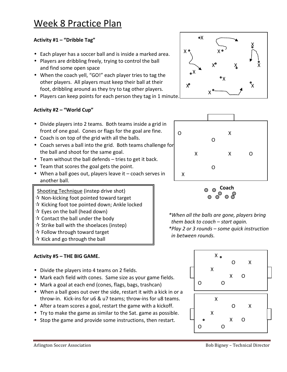#### **Activity #1 – "Dribble Tag"**

- Each player has a soccer ball and is inside a marked area.
- Players are dribbling freely, trying to control the ball and find some open space
- When the coach yell, "GO!" each player tries to tag the other players. All players must keep their ball at their foot, dribbling around as they try to tag other players.
- Players can keep points for each person they tag in 1 minute.

#### **Activity #2 – "World Cup"**

- Divide players into 2 teams. Both teams inside a grid in front of one goal. Cones or flags for the goal are fine.
- Coach is on top of the grid with all the balls.
- Coach serves a ball into the grid. Both teams challenge for the ball and shoot for the same goal.
- Team without the ball defends tries to get it back.
- Team that scores the goal gets the point.
- When a ball goes out, players leave it coach serves in another ball.

Shooting Technique (instep drive shot)

- $\mathbf{\hat{x}}$  Non-kicking foot pointed toward target
- $\mathbf{\hat{x}}$  Kicking foot toe pointed down; Ankle locked
- $\mathbf{\hat{x}}$  Eyes on the ball (head down)
- $\mathbf{\hat{x}}$  Contact the ball under the body
- $\mathbf{\hat{x}}$  Strike ball with the shoelaces (instep)
- $\mathbf{\hat{x}}$  Follow through toward target
- $\alpha$  Kick and go through the ball

#### **Activity #5 – THE BIG GAME.**

- Divide the players into 4 teams on 2 fields.
- Mark each field with cones. Same size as your game fields.
- Mark a goal at each end (cones, flags, bags, trashcan)
- When a ball goes out over the side, restart it with a kick in or a throw-in. Kick-ins for u6 & u7 teams; throw-ins for u8 teams.
- After a team scores a goal, restart the game with a kickoff.
- Try to make the game as similar to the Sat. game as possible.
- Stop the game and provide some instructions, then restart.







*\*When all the balls are gone, players bring them back to coach – start again. \*Play 2 or 3 rounds – some quick instruction in between rounds.* 

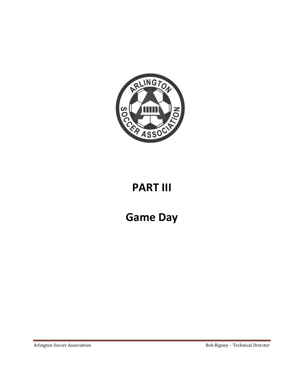

# **PART III**

**Game Day**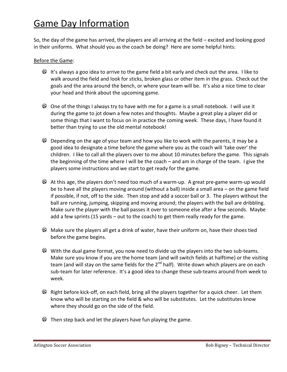# Game Day Information

So, the day of the game has arrived, the players are all arriving at the field – excited and looking good in their uniforms. What should you as the coach be doing? Here are some helpful hints:

#### Before the Game:

- $\bullet$  It's always a goo idea to arrive to the game field a bit early and check out the area. I like to walk around the field and look for sticks, broken glass or other item in the grass. Check out the goals and the area around the bench, or where your team will be. It's also a nice time to clear your head and think about the upcoming game.
- $\bullet$  One of the things I always try to have with me for a game is a small notebook. I will use it during the game to jot down a few notes and thoughts. Maybe a great play a player did or some things that I want to focus on in practice the coming week. These days, I have found it better than trying to use the old mental notebook!
- $\bullet$  Depending on the age of your team and how you like to work with the parents, it may be a good idea to designate a time before the game where you as the coach will 'take over' the children. I like to call all the players over to me about 10 minutes before the game. This signals the beginning of the time where I will be the coach – and am in charge of the team. I give the players some instructions and we start to get ready for the game.
- At this age, the players don't need too much of a warm-up. A great pre-game warm-up would be to have all the players moving around (without a ball) inside a small area – on the game field if possible, if not, off to the side. Then stop and add a soccer ball or 3. The players without the ball are running, jumping, skipping and moving around; the players with the ball are dribbling. Make sure the player with the ball passes it over to someone else after a few seconds. Maybe add a few sprints (15 yards – out to the coach) to get them really ready for the game.
- $\bullet$  Make sure the players all get a drink of water, have their uniform on, have their shoes tied before the game begins.
- $\odot$  With the dual game format, you now need to divide up the players into the two sub-teams. Make sure you know if you are the home team (and will switch fields at halftime) or the visiting team (and will stay on the same fields for the 2<sup>nd</sup> half). Write down which players are on each sub-team for later reference. It's a good idea to change these sub-teams around from week to week.
- $\bullet$  Right before kick-off, on each field, bring all the players together for a quick cheer. Let them know who will be starting on the field & who will be substitutes. Let the substitutes know where they should go on the side of the field.
- $\bullet$  Then step back and let the players have fun playing the game.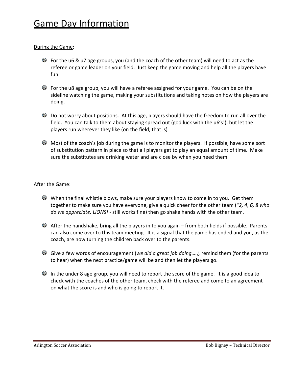#### During the Game:

- $\bullet$  For the u6 & u7 age groups, you (and the coach of the other team) will need to act as the referee or game leader on your field. Just keep the game moving and help all the players have fun.
- For the u8 age group, you will have a referee assigned for your game. You can be on the sideline watching the game, making your substitutions and taking notes on how the players are doing.
- $\bullet$  Do not worry about positions. At this age, players should have the freedom to run all over the field. You can talk to them about staying spread out (god luck with the u6's!), but let the players run wherever they like (on the field, that is)
- $\bullet$  Most of the coach's job during the game is to monitor the players. If possible, have some sort of substitution pattern in place so that all players get to play an equal amount of time. Make sure the substitutes are drinking water and are close by when you need them.

#### After the Game:

- When the final whistle blows, make sure your players know to come in to you. Get them together to make sure you have everyone, give a quick cheer for the other team (*"2, 4, 6, 8 who do we appreciate, LIONS!* - still works fine) then go shake hands with the other team.
- $\bullet$  After the handshake, bring all the players in to you again from both fields if possible. Parents can also come over to this team meeting. It is a signal that the game has ended and you, as the coach, are now turning the children back over to the parents.
- Give a few words of encouragement (*we did a great job doing….),* remind them (for the parents to hear) when the next practice/game will be and then let the players go.
- $\bullet$  In the under 8 age group, you will need to report the score of the game. It is a good idea to check with the coaches of the other team, check with the referee and come to an agreement on what the score is and who is going to report it.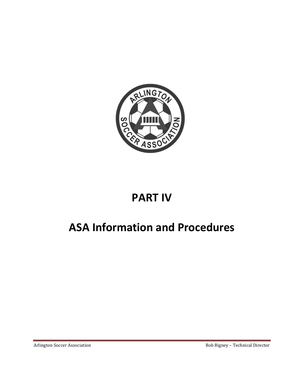

# **PART IV**

# **ASA Information and Procedures**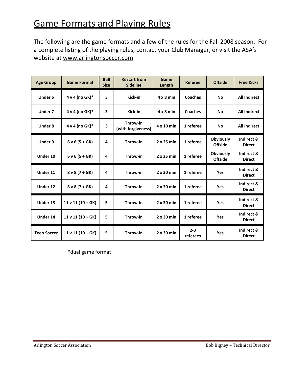# **Game Formats and Playing Rules**

The following are the game formats and a few of the rules for the Fall 2008 season. For a complete listing of the playing rules, contact your Club Manager, or visit the ASA's website at www.arlingtonsoccer.com

| <b>Age Group</b>   | <b>Game Format</b>  | <b>Ball</b><br><b>Size</b> | <b>Restart from</b><br><b>Sideline</b> | Game<br>Length    | <b>Referee</b>      | <b>Offside</b>                     | <b>Free Kicks</b>           |
|--------------------|---------------------|----------------------------|----------------------------------------|-------------------|---------------------|------------------------------------|-----------------------------|
| <b>Under 6</b>     | 4 v 4 (no GK)*      | 3                          | Kick-in                                | $4 \times 8$ min  | <b>Coaches</b>      | <b>No</b>                          | <b>All Indirect</b>         |
| Under 7            | 4 v 4 (no GK) $*$   | 3                          | Kick-in                                | $4 \times 8$ min  | <b>Coaches</b>      | <b>No</b>                          | <b>All Indirect</b>         |
| <b>Under 8</b>     | 4 v 4 (no GK)*      | 3                          | Throw-in<br>(with forgiveness)         | 4 x 10 min        | 1 referee           | <b>No</b>                          | <b>All Indirect</b>         |
| Under 9            | $6 v 6 (5 + GK)$    | 4                          | Throw-in                               | $2 \times 25$ min | 1 referee           | <b>Obviously</b><br><b>Offside</b> | Indirect &<br><b>Direct</b> |
| Under 10           | $6 v 6 (5 + GK)$    | 4                          | Throw-in                               | $2 \times 25$ min | 1 referee           | <b>Obviously</b><br><b>Offside</b> | Indirect &<br><b>Direct</b> |
| Under 11           | $8 \vee 8 (7 + GK)$ | 4                          | Throw-in                               | $2 \times 30$ min | 1 referee           | Yes                                | Indirect &<br><b>Direct</b> |
| Under 12           | $8 \vee 8 (7 + GK)$ | 4                          | Throw-in                               | $2 \times 30$ min | 1 referee           | Yes                                | Indirect &<br><b>Direct</b> |
| Under 13           | $11 v 11 (10 + GK)$ | 5                          | Throw-in                               | $2 \times 30$ min | 1 referee           | Yes                                | Indirect &<br><b>Direct</b> |
| Under 14           | $11 v 11 (10 + GK)$ | 5                          | Throw-in                               | $2 \times 30$ min | 1 referee           | Yes                                | Indirect &<br><b>Direct</b> |
| <b>Teen Soccer</b> | $11 v 11 (10 + GK)$ | 5                          | Throw-in                               | $2 \times 30$ min | $2 - 3$<br>referees | Yes                                | Indirect &<br><b>Direct</b> |

\*dual game format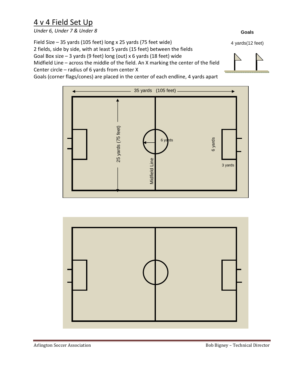### 4 v 4 Field Set Up

*Under 6, Under 7 & Under 8* 

Field Size – 35 yards (105 feet) long x 25 yards (75 feet wide) 2 fields, side by side, with at least 5 yards (15 feet) between the fields Goal Box size – 3 yards (9 feet) long (out) x 6 yards (18 feet) wide Midfield Line – across the middle of the field. An X marking the center of the field Center circle – radius of 6 yards from center X

Goals (corner flags/cones) are placed in the center of each endline, 4 yards apart





4 yards(12 feet)

**Goals** 

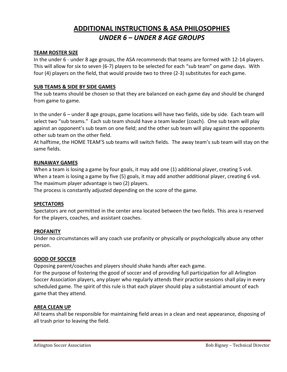### **ADDITIONAL INSTRUCTIONS & ASA PHILOSOPHIES** *UNDER 6 – UNDER 8 AGE GROUPS*

#### **TEAM ROSTER SIZE**

In the under 6 - under 8 age groups, the ASA recommends that teams are formed with 12-14 players. This will allow for six to seven (6-7) players to be selected for each "sub team" on game days. With four (4) players on the field, that would provide two to three (2-3) substitutes for each game.

#### **SUB TEAMS & SIDE BY SIDE GAMES**

The sub teams should be chosen so that they are balanced on each game day and should be changed from game to game.

In the under 6 – under 8 age groups, game locations will have two fields, side by side. Each team will select two "sub teams." Each sub team should have a team leader (coach). One sub team will play against an opponent's sub team on one field; and the other sub team will play against the opponents other sub team on the other field.

At halftime, the HOME TEAM'S sub teams will switch fields. The away team's sub team will stay on the same fields.

#### **RUNAWAY GAMES**

When a team is losing a game by four goals, it may add one (1) additional player, creating 5 vs4. When a team is losing a game by five (5) goals, it may add another additional player, creating 6 vs4. The maximum player advantage is two (2) players.

The process is constantly adjusted depending on the score of the game.

#### **SPECTATORS**

Spectators are not permitted in the center area located between the two fields. This area is reserved for the players, coaches, and assistant coaches.

#### **PROFANITY**

Under no circumstances will any coach use profanity or physically or psychologically abuse any other person.

#### **GOOD OF SOCCER**

Opposing parent/coaches and players should shake hands after each game.

For the purpose of fostering the good of soccer and of providing full participation for all Arlington Soccer Association players, any player who regularly attends their practice sessions shall play in every scheduled game. The spirit of this rule is that each player should play a substantial amount of each game that they attend.

#### **AREA CLEAN UP**

All teams shall be responsible for maintaining field areas in a clean and neat appearance, disposing of all trash prior to leaving the field.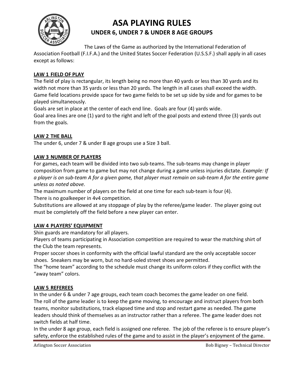

### **ASA PLAYING RULES UNDER 6, UNDER 7 & UNDER 8 AGE GROUPS**

The Laws of the Game as authorized by the International Federation of Association Football (F.I.F.A.) and the United States Soccer Federation (U.S.S.F.) shall apply in all cases except as follows:

#### **LAW 1 FIELD OF PLAY**

The field of play is rectangular, its length being no more than 40 yards or less than 30 yards and its width not more than 35 yards or less than 20 yards. The length in all cases shall exceed the width. Game field locations provide space for two game fields to be set up side by side and for games to be played simultaneously.

Goals are set in place at the center of each end line. Goals are four (4) yards wide.

Goal area lines are one (1) yard to the right and left of the goal posts and extend three (3) yards out from the goals.

#### **LAW 2 THE BALL**

The under 6, under 7 & under 8 age groups use a Size 3 ball.

#### **LAW 3 NUMBER OF PLAYERS**

For games, each team will be divided into two sub-teams. The sub-teams may change in player composition from game to game but may not change during a game unless injuries dictate. *Example: If a player is on sub-team A for a given game, that player must remain on sub-team A for the entire game unless as noted above.*

The maximum number of players on the field at one time for each sub-team is four (4). There is no goalkeeper in 4v4 competition.

Substitutions are allowed at any stoppage of play by the referee/game leader. The player going out must be completely off the field before a new player can enter.

#### **LAW 4 PLAYERS' EQUIPMENT**

Shin guards are mandatory for all players.

Players of teams participating in Association competition are required to wear the matching shirt of the Club the team represents.

Proper soccer shoes in conformity with the official lawful standard are the only acceptable soccer shoes. Sneakers may be worn, but no hard-soled street shoes are permitted.

The "home team" according to the schedule must change its uniform colors if they conflict with the "away team" colors.

#### **LAW 5 REFEREES**

In the under 6 & under 7 age groups, each team coach becomes the game leader on one field. The roll of the game leader is to keep the game moving, to encourage and instruct players from both teams, monitor substitutions, track elapsed time and stop and restart game as needed. The game leaders should think of themselves as an instructor rather than a referee. The game leader does not switch fields at half time.

In the under 8 age group, each field is assigned one referee. The job of the referee is to ensure player's safety, enforce the established rules of the game and to assist in the player's enjoyment of the game.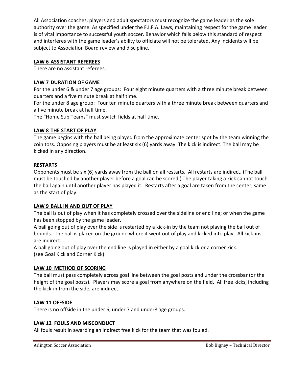All Association coaches, players and adult spectators must recognize the game leader as the sole authority over the game. As specified under the F.I.F.A. Laws, maintaining respect for the game leader is of vital importance to successful youth soccer. Behavior which falls below this standard of respect and interferes with the game leader's ability to officiate will not be tolerated. Any incidents will be subject to Association Board review and discipline.

#### **LAW 6 ASSISTANT REFEREES**

There are no assistant referees.

#### **LAW 7 DURATION OF GAME**

For the under 6 & under 7 age groups: Four eight minute quarters with a three minute break between quarters and a five minute break at half time.

For the under 8 age group: Four ten minute quarters with a three minute break between quarters and a five minute break at half time.

The "Home Sub Teams" must switch fields at half time.

#### **LAW 8 THE START OF PLAY**

The game begins with the ball being played from the approximate center spot by the team winning the coin toss. Opposing players must be at least six (6) yards away. The kick is indirect. The ball may be kicked in any direction.

#### **RESTARTS**

Opponents must be six (6) yards away from the ball on all restarts. All restarts are indirect. (The ball must be touched by another player before a goal can be scored.) The player taking a kick cannot touch the ball again until another player has played it. Restarts after a goal are taken from the center, same as the start of play.

#### **LAW 9 BALL IN AND OUT OF PLAY**

The ball is out of play when it has completely crossed over the sideline or end line; or when the game has been stopped by the game leader.

A ball going out of play over the side is restarted by a kick-in by the team not playing the ball out of bounds. The ball is placed on the ground where it went out of play and kicked into play. All kick-ins are indirect.

A ball going out of play over the end line is played in either by a goal kick or a corner kick. (see Goal Kick and Corner Kick)

#### **LAW 10 METHOD OF SCORING**

The ball must pass completely across goal line between the goal posts and under the crossbar (or the height of the goal posts). Players may score a goal from anywhere on the field. All free kicks, including the kick-in from the side, are indirect.

#### **LAW 11 OFFSIDE**

There is no offside in the under 6, under 7 and under8 age groups.

#### **LAW 12 FOULS AND MISCONDUCT**

All fouls result in awarding an indirect free kick for the team that was fouled.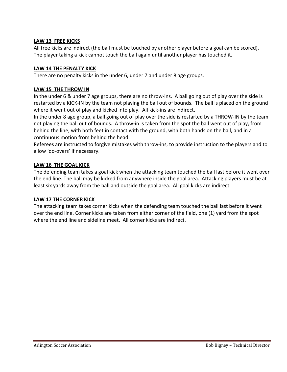#### **LAW 13 FREE KICKS**

All free kicks are indirect (the ball must be touched by another player before a goal can be scored). The player taking a kick cannot touch the ball again until another player has touched it.

#### **LAW 14 THE PENALTY KICK**

There are no penalty kicks in the under 6, under 7 and under 8 age groups.

#### **LAW 15 THE THROW IN**

In the under 6 & under 7 age groups, there are no throw-ins. A ball going out of play over the side is restarted by a KICK-IN by the team not playing the ball out of bounds. The ball is placed on the ground where it went out of play and kicked into play. All kick-ins are indirect.

In the under 8 age group, a ball going out of play over the side is restarted by a THROW-IN by the team not playing the ball out of bounds. A throw-in is taken from the spot the ball went out of play, from behind the line, with both feet in contact with the ground, with both hands on the ball, and in a continuous motion from behind the head.

Referees are instructed to forgive mistakes with throw-ins, to provide instruction to the players and to allow 'do-overs' if necessary.

#### **LAW 16 THE GOAL KICK**

The defending team takes a goal kick when the attacking team touched the ball last before it went over the end line. The ball may be kicked from anywhere inside the goal area. Attacking players must be at least six yards away from the ball and outside the goal area. All goal kicks are indirect.

#### **LAW 17 THE CORNER KICK**

The attacking team takes corner kicks when the defending team touched the ball last before it went over the end line. Corner kicks are taken from either corner of the field, one (1) yard from the spot where the end line and sideline meet. All corner kicks are indirect.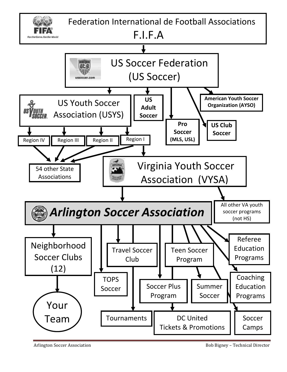

Arlington Soccer Association Bob Bigney – Technical Director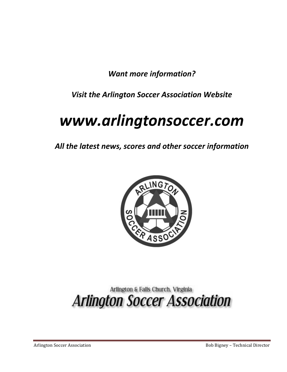*Want more information?* 

*Visit the Arlington Soccer Association Website* 

# *www.arlingtonsoccer.com*

*All the latest news, scores and other soccer information* 



# Arlington & Falls Church, Virginia **Arlington Soccer Association**